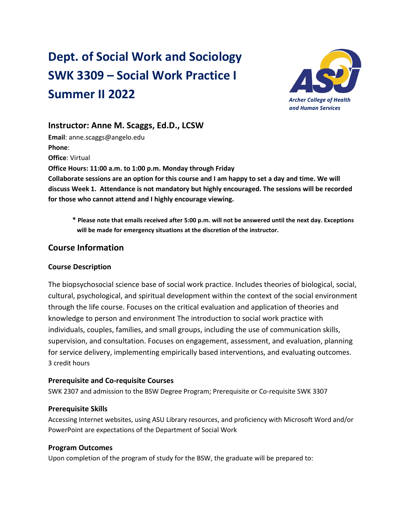# **Dept. of Social Work and Sociology SWK 3309 – Social Work Practice I Summer II 2022** *Archer College of Health*



## **Instructor: Anne M. Scaggs, Ed.D., LCSW**

**Email**: anne.scaggs@angelo.edu **Phone**: **Office**: Virtual **Office Hours: 11:00 a.m. to 1:00 p.m. Monday through Friday Collaborate sessions are an option for this course and I am happy to set a day and time. We will discuss Week 1. Attendance is not mandatory but highly encouraged. The sessions will be recorded for those who cannot attend and I highly encourage viewing.**

**\* Please note that emails received after 5:00 p.m. will not be answered until the next day. Exceptions will be made for emergency situations at the discretion of the instructor.**

## **Course Information**

#### **Course Description**

The biopsychosocial science base of social work practice. Includes theories of biological, social, cultural, psychological, and spiritual development within the context of the social environment through the life course. Focuses on the critical evaluation and application of theories and knowledge to person and environment The introduction to social work practice with individuals, couples, families, and small groups, including the use of communication skills, supervision, and consultation. Focuses on engagement, assessment, and evaluation, planning for service delivery, implementing empirically based interventions, and evaluating outcomes. 3 credit hours

#### **Prerequisite and Co-requisite Courses**

SWK 2307 and admission to the BSW Degree Program; Prerequisite or Co-requisite SWK 3307

#### **Prerequisite Skills**

Accessing Internet websites, using ASU Library resources, and proficiency with Microsoft Word and/or PowerPoint are expectations of the Department of Social Work

#### **Program Outcomes**

Upon completion of the program of study for the BSW, the graduate will be prepared to: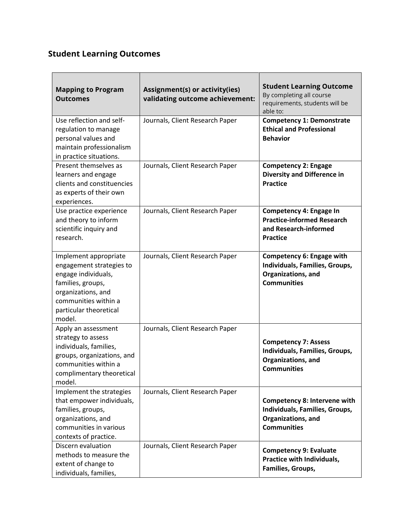## **Student Learning Outcomes**

| <b>Mapping to Program</b><br><b>Outcomes</b>                                                                                                                                    | Assignment(s) or activity(ies)<br>validating outcome achievement: | <b>Student Learning Outcome</b><br>By completing all course<br>requirements, students will be<br>able to:         |
|---------------------------------------------------------------------------------------------------------------------------------------------------------------------------------|-------------------------------------------------------------------|-------------------------------------------------------------------------------------------------------------------|
| Use reflection and self-<br>regulation to manage<br>personal values and<br>maintain professionalism<br>in practice situations.                                                  | Journals, Client Research Paper                                   | <b>Competency 1: Demonstrate</b><br><b>Ethical and Professional</b><br><b>Behavior</b>                            |
| Present themselves as<br>learners and engage<br>clients and constituencies<br>as experts of their own<br>experiences.                                                           | Journals, Client Research Paper                                   | <b>Competency 2: Engage</b><br><b>Diversity and Difference in</b><br><b>Practice</b>                              |
| Use practice experience<br>and theory to inform<br>scientific inquiry and<br>research.                                                                                          | Journals, Client Research Paper                                   | Competency 4: Engage In<br><b>Practice-informed Research</b><br>and Research-informed<br><b>Practice</b>          |
| Implement appropriate<br>engagement strategies to<br>engage individuals,<br>families, groups,<br>organizations, and<br>communities within a<br>particular theoretical<br>model. | Journals, Client Research Paper                                   | Competency 6: Engage with<br>Individuals, Families, Groups,<br>Organizations, and<br><b>Communities</b>           |
| Apply an assessment<br>strategy to assess<br>individuals, families,<br>groups, organizations, and<br>communities within a<br>complimentary theoretical<br>model.                | Journals, Client Research Paper                                   | <b>Competency 7: Assess</b><br>Individuals, Families, Groups,<br>Organizations, and<br><b>Communities</b>         |
| Implement the strategies<br>that empower individuals,<br>families, groups,<br>organizations, and<br>communities in various<br>contexts of practice.                             | Journals, Client Research Paper                                   | <b>Competency 8: Intervene with</b><br>Individuals, Families, Groups,<br>Organizations, and<br><b>Communities</b> |
| Discern evaluation<br>methods to measure the<br>extent of change to<br>individuals, families,                                                                                   | Journals, Client Research Paper                                   | <b>Competency 9: Evaluate</b><br>Practice with Individuals,<br>Families, Groups,                                  |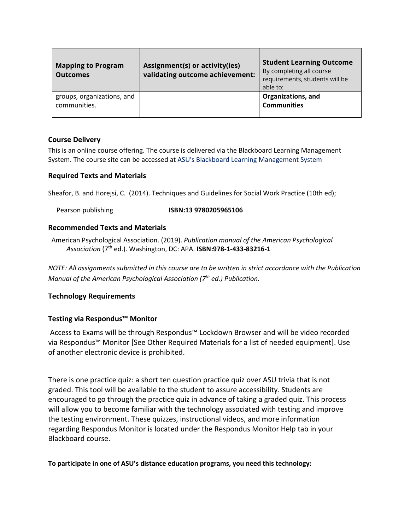| <b>Mapping to Program</b><br><b>Outcomes</b> | Assignment(s) or activity(ies)<br>validating outcome achievement: | <b>Student Learning Outcome</b><br>By completing all course<br>requirements, students will be<br>able to: |
|----------------------------------------------|-------------------------------------------------------------------|-----------------------------------------------------------------------------------------------------------|
| groups, organizations, and<br>communities.   |                                                                   | Organizations, and<br><b>Communities</b>                                                                  |

#### **Course Delivery**

This is an online course offering. The course is delivered via the Blackboard Learning Management System. The course site can be accessed at [ASU's Blackboard Learning Management System](http://blackboard.angelo.edu/)

#### **Required Texts and Materials**

Sheafor, B. and Horejsi, C. (2014). Techniques and Guidelines for Social Work Practice (10th ed);

Pearson publishing **ISBN:13 9780205965106**

#### **Recommended Texts and Materials**

American Psychological Association. (2019). *Publication manual of the American Psychological Association* (7th ed.). Washington, DC: APA. **ISBN:978-1-433-83216-1** 

*NOTE: All assignments submitted in this course are to be written in strict accordance with the Publication Manual of the American Psychological Association (7th ed.) Publication.*

#### **Technology Requirements**

#### **Testing via Respondus™ Monitor**

Access to Exams will be through Respondus™ Lockdown Browser and will be video recorded via Respondus™ Monitor [See Other Required Materials for a list of needed equipment]. Use of another electronic device is prohibited.

There is one practice quiz: a short ten question practice quiz over ASU trivia that is not graded. This tool will be available to the student to assure accessibility. Students are encouraged to go through the practice quiz in advance of taking a graded quiz. This process will allow you to become familiar with the technology associated with testing and improve the testing environment. These quizzes, instructional videos, and more information regarding Respondus Monitor is located under the Respondus Monitor Help tab in your Blackboard course.

**To participate in one of ASU's distance education programs, you need this technology:**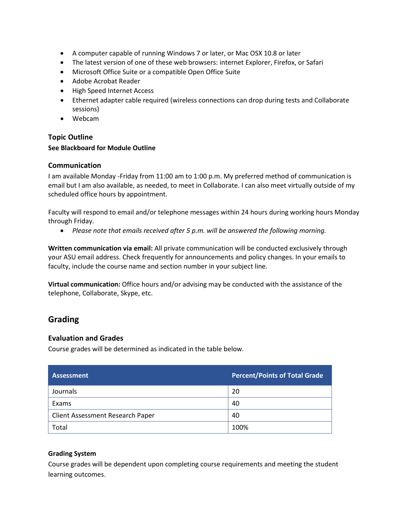- A computer capable of running Windows 7 or later, or Mac OSX 10.8 or later
- The latest version of one of these web browsers: internet Explorer, Firefox, or Safari
- Microsoft Office Suite or a compatible Open Office Suite
- Adobe Acrobat Reader
- High Speed Internet Access
- Ethernet adapter cable required (wireless connections can drop during tests and Collaborate sessions)
- Webcam

#### **Topic Outline**

#### **See Blackboard for Module Outline**

#### **Communication**

I am available Monday -Friday from 11:00 am to 1:00 p.m. My preferred method of communication is email but I am also available, as needed, to meet in Collaborate. I can also meet virtually outside of my scheduled office hours by appointment.

Faculty will respond to email and/or telephone messages within 24 hours during working hours Monday through Friday.

• *Please note that emails received after 5 p.m. will be answered the following morning.*

**Written communication via email:** All private communication will be conducted exclusively through your ASU email address. Check frequently for announcements and policy changes. In your emails to faculty, include the course name and section number in your subject line.

**Virtual communication:** Office hours and/or advising may be conducted with the assistance of the telephone, Collaborate, Skype, etc.

## **Grading**

#### **Evaluation and Grades**

Course grades will be determined as indicated in the table below.

| Assessment                       | <b>Percent/Points of Total Grade</b> |
|----------------------------------|--------------------------------------|
| Journals                         | 20                                   |
| Exams                            | 40                                   |
| Client Assessment Research Paper | 40                                   |
| Total                            | 100%                                 |

#### **Grading System**

Course grades will be dependent upon completing course requirements and meeting the student learning outcomes.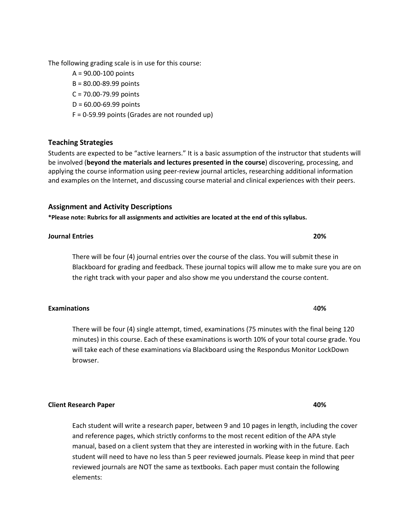The following grading scale is in use for this course:

- A = 90.00-100 points
- B = 80.00-89.99 points
- C = 70.00-79.99 points
- D = 60.00-69.99 points
- F = 0-59.99 points (Grades are not rounded up)

## **Teaching Strategies**

Students are expected to be "active learners." It is a basic assumption of the instructor that students will be involved (**beyond the materials and lectures presented in the course**) discovering, processing, and applying the course information using peer-review journal articles, researching additional information and examples on the Internet, and discussing course material and clinical experiences with their peers.

#### **Assignment and Activity Descriptions**

**\*Please note: Rubrics for all assignments and activities are located at the end of this syllabus.**

#### **Journal Entries 20%**

There will be four (4) journal entries over the course of the class. You will submit these in Blackboard for grading and feedback. These journal topics will allow me to make sure you are on the right track with your paper and also show me you understand the course content.

There will be four (4) single attempt, timed, examinations (75 minutes with the final being 120 minutes) in this course. Each of these examinations is worth 10% of your total course grade. You will take each of these examinations via Blackboard using the Respondus Monitor LockDown browser.

**Client Research Paper 40%**

Each student will write a research paper, between 9 and 10 pages in length, including the cover and reference pages, which strictly conforms to the most recent edition of the APA style manual, based on a client system that they are interested in working with in the future. Each student will need to have no less than 5 peer reviewed journals. Please keep in mind that peer reviewed journals are NOT the same as textbooks. Each paper must contain the following elements:

**Examinations** 4**0%**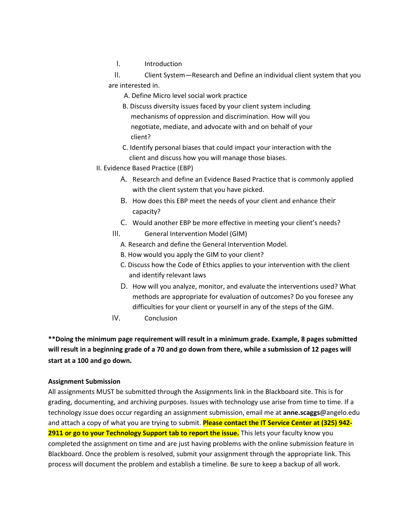I. Introduction

II. Client System—Research and Define an individual client system that you are interested in.

- A. Define Micro level social work practice
- B. Discuss diversity issues faced by your client system including mechanisms of oppression and discrimination. How will you negotiate, mediate, and advocate with and on behalf of your client?
- C. Identify personal biases that could impact your interaction with the client and discuss how you will manage those biases.
- II. Evidence Based Practice (EBP)
	- A. Research and define an Evidence Based Practice that is commonly applied with the client system that you have picked.
	- B. How does this EBP meet the needs of your client and enhance their capacity?
	- C. Would another EBP be more effective in meeting your client's needs?
	- III. General Intervention Model (GIM)
		- A. Research and define the General Intervention Model.
		- B. How would you apply the GIM to your client?
		- C. Discuss how the Code of Ethics applies to your intervention with the client and identify relevant laws
		- D. How will you analyze, monitor, and evaluate the interventions used? What methods are appropriate for evaluation of outcomes? Do you foresee any difficulties for your client or yourself in any of the steps of the GIM.
	- IV. Conclusion

**\*\*Doing the minimum page requirement will result in a minimum grade. Example, 8 pages submitted will result in a beginning grade of a 70 and go down from there, while a submission of 12 pages will start at a 100 and go down.**

#### **Assignment Submission**

All assignments MUST be submitted through the Assignments link in the Blackboard site. This is for grading, documenting, and archiving purposes. Issues with technology use arise from time to time. If a technology issue does occur regarding an assignment submission, email me at **anne.scaggs**@angelo.edu and attach a copy of what you are trying to submit. **Please contact the IT Service Center at (325) 942- 2911 or go to your Technology Support tab to report the issue.** This lets your faculty know you completed the assignment on time and are just having problems with the online submission feature in Blackboard. Once the problem is resolved, submit your assignment through the appropriate link. This process will document the problem and establish a timeline. Be sure to keep a backup of all work.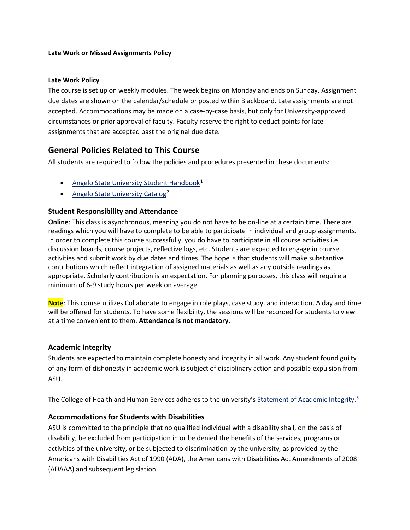#### **Late Work or Missed Assignments Policy**

#### **Late Work Policy**

The course is set up on weekly modules. The week begins on Monday and ends on Sunday. Assignment due dates are shown on the calendar/schedule or posted within Blackboard. Late assignments are not accepted. Accommodations may be made on a case-by-case basis, but only for University-approved circumstances or prior approval of faculty. Faculty reserve the right to deduct points for late assignments that are accepted past the original due date.

## **General Policies Related to This Course**

All students are required to follow the policies and procedures presented in these documents:

- [Angelo State University Student Handbook](http://www.angelo.edu/student-handbook/)<sup>[1](#page-10-0)</sup>
- [Angelo State University Catalog](http://www.angelo.edu/catalogs/)<sup>[2](#page-10-1)</sup>

#### **Student Responsibility and Attendance**

**Online**: This class is asynchronous, meaning you do not have to be on-line at a certain time. There are readings which you will have to complete to be able to participate in individual and group assignments. In order to complete this course successfully, you do have to participate in all course activities i.e. discussion boards, course projects, reflective logs, etc. Students are expected to engage in course activities and submit work by due dates and times. The hope is that students will make substantive contributions which reflect integration of assigned materials as well as any outside readings as appropriate. Scholarly contribution is an expectation. For planning purposes, this class will require a minimum of 6-9 study hours per week on average.

**Note**: This course utilizes Collaborate to engage in role plays, case study, and interaction. A day and time will be offered for students. To have some flexibility, the sessions will be recorded for students to view at a time convenient to them. **Attendance is not mandatory.** 

#### **Academic Integrity**

Students are expected to maintain complete honesty and integrity in all work. Any student found guilty of any form of dishonesty in academic work is subject of disciplinary action and possible expulsion from ASU.

The College of Health and Human Services adheres to the university's [Statement of](https://www.angelo.edu/student-handbook/community-policies/academic-integrity.php) Academic Integrity.<sup>3</sup>

#### **Accommodations for Students with Disabilities**

ASU is committed to the principle that no qualified individual with a disability shall, on the basis of disability, be excluded from participation in or be denied the benefits of the services, programs or activities of the university, or be subjected to discrimination by the university, as provided by the Americans with Disabilities Act of 1990 (ADA), the Americans with Disabilities Act Amendments of 2008 (ADAAA) and subsequent legislation.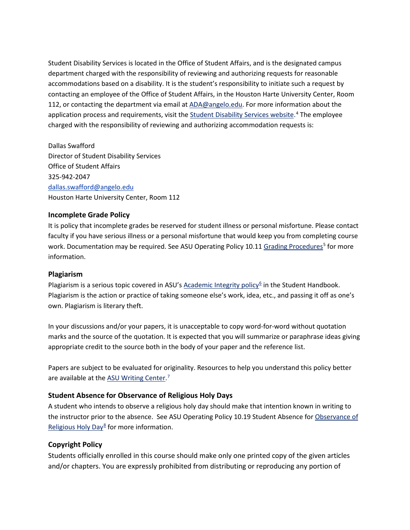Student Disability Services is located in the Office of Student Affairs, and is the designated campus department charged with the responsibility of reviewing and authorizing requests for reasonable accommodations based on a disability. It is the student's responsibility to initiate such a request by contacting an employee of the Office of Student Affairs, in the Houston Harte University Center, Room 112, or contacting the department via email at [ADA@angelo.edu.](mailto:ADA@angelo.edu) For more information about the application process and requirements, visit the [Student Disability Services website.](https://www.angelo.edu/services/disability-services/)<sup>[4](#page-10-3)</sup> The employee charged with the responsibility of reviewing and authorizing accommodation requests is:

Dallas Swafford Director of Student Disability Services Office of Student Affairs 325-942-2047 [dallas.swafford@angelo.edu](mailto:dallas.swafford@angelo.edu) Houston Harte University Center, Room 112

#### **Incomplete Grade Policy**

It is policy that incomplete grades be reserved for student illness or personal misfortune. Please contact faculty if you have serious illness or a personal misfortune that would keep you from completing course work. Documentation may be required. See ASU Operating Policy 10.11 [Grading Procedures](http://www.angelo.edu/content/files/14197-op-1011-grading-procedures)<sup>[5](#page-10-4)</sup> for more information.

#### **Plagiarism**

Plagiarism is a serious topic covered in ASU's [Academic Integrity policy](http://www.angelo.edu/student-handbook/community-policies/academic-integrity.php)<sup>[6](#page-10-5)</sup> in the Student Handbook. Plagiarism is the action or practice of taking someone else's work, idea, etc., and passing it off as one's own. Plagiarism is literary theft.

In your discussions and/or your papers, it is unacceptable to copy word-for-word without quotation marks and the source of the quotation. It is expected that you will summarize or paraphrase ideas giving appropriate credit to the source both in the body of your paper and the reference list.

Papers are subject to be evaluated for originality. Resources to help you understand this policy better are available at the **[ASU Writing Center.](http://www.angelo.edu/dept/writing_center/academic_honesty.php)**<sup>[7](#page-10-6)</sup>

#### **Student Absence for Observance of Religious Holy Days**

A student who intends to observe a religious holy day should make that intention known in writing to the instructor prior to the absence. See ASU Operating Policy 10.19 Student Absence for [Observance of](http://www.angelo.edu/content/files/14206-op-1019-student-absence-for-observance-of)  [Religious Holy Day](http://www.angelo.edu/content/files/14206-op-1019-student-absence-for-observance-of)<sup>[8](#page-10-7)</sup> for more information.

#### **Copyright Policy**

Students officially enrolled in this course should make only one printed copy of the given articles and/or chapters. You are expressly prohibited from distributing or reproducing any portion of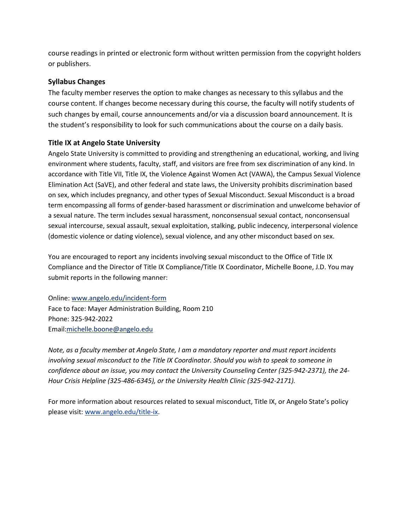course readings in printed or electronic form without written permission from the copyright holders or publishers.

#### **Syllabus Changes**

The faculty member reserves the option to make changes as necessary to this syllabus and the course content. If changes become necessary during this course, the faculty will notify students of such changes by email, course announcements and/or via a discussion board announcement. It is the student's responsibility to look for such communications about the course on a daily basis.

#### **Title IX at Angelo State University**

Angelo State University is committed to providing and strengthening an educational, working, and living environment where students, faculty, staff, and visitors are free from sex discrimination of any kind. In accordance with Title VII, Title IX, the Violence Against Women Act (VAWA), the Campus Sexual Violence Elimination Act (SaVE), and other federal and state laws, the University prohibits discrimination based on sex, which includes pregnancy, and other types of Sexual Misconduct. Sexual Misconduct is a broad term encompassing all forms of gender-based harassment or discrimination and unwelcome behavior of a sexual nature. The term includes sexual harassment, nonconsensual sexual contact, nonconsensual sexual intercourse, sexual assault, sexual exploitation, stalking, public indecency, interpersonal violence (domestic violence or dating violence), sexual violence, and any other misconduct based on sex.

You are encouraged to report any incidents involving sexual misconduct to the Office of Title IX Compliance and the Director of Title IX Compliance/Title IX Coordinator, Michelle Boone, J.D. You may submit reports in the following manner:

Online: [www.angelo.edu/incident-form](http://www.angelo.edu/incident-form) Face to face: Mayer Administration Building, Room 210 Phone: 325-942-2022 Email[:michelle.boone@angelo.edu](mailto:michelle.boone@angelo.edu)

*Note, as a faculty member at Angelo State, I am a mandatory reporter and must report incidents involving sexual misconduct to the Title IX Coordinator. Should you wish to speak to someone in confidence about an issue, you may contact the University Counseling Center (325-942-2371), the 24- Hour Crisis Helpline (325-486-6345), or the University Health Clinic (325-942-2171).*

For more information about resources related to sexual misconduct, Title IX, or Angelo State's policy please visit[: www.angelo.edu/title-ix.](http://www.angelo.edu/title-ix)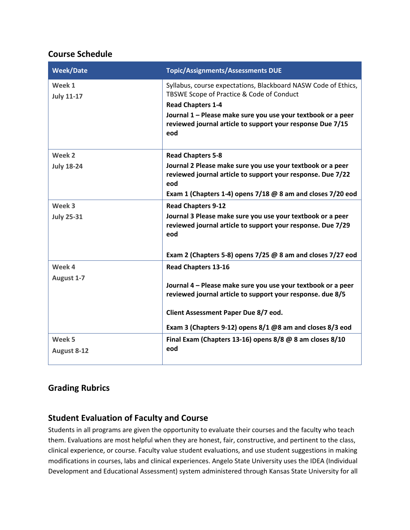## **Course Schedule**

| <b>Week/Date</b>            | <b>Topic/Assignments/Assessments DUE</b>                                                                                                                                                                                                                                     |
|-----------------------------|------------------------------------------------------------------------------------------------------------------------------------------------------------------------------------------------------------------------------------------------------------------------------|
| Week 1<br><b>July 11-17</b> | Syllabus, course expectations, Blackboard NASW Code of Ethics,<br>TBSWE Scope of Practice & Code of Conduct<br><b>Read Chapters 1-4</b><br>Journal 1 - Please make sure you use your textbook or a peer<br>reviewed journal article to support your response Due 7/15<br>eod |
| Week 2                      | <b>Read Chapters 5-8</b>                                                                                                                                                                                                                                                     |
| <b>July 18-24</b>           | Journal 2 Please make sure you use your textbook or a peer<br>reviewed journal article to support your response. Due 7/22<br>eod<br>Exam 1 (Chapters 1-4) opens $7/18$ @ 8 am and closes $7/20$ eod                                                                          |
| Week 3                      | <b>Read Chapters 9-12</b>                                                                                                                                                                                                                                                    |
| <b>July 25-31</b>           | Journal 3 Please make sure you use your textbook or a peer<br>reviewed journal article to support your response. Due 7/29<br>eod                                                                                                                                             |
|                             | Exam 2 (Chapters 5-8) opens $7/25$ @ 8 am and closes $7/27$ eod                                                                                                                                                                                                              |
| Week 4<br>August 1-7        | <b>Read Chapters 13-16</b><br>Journal 4 - Please make sure you use your textbook or a peer<br>reviewed journal article to support your response. due 8/5<br>Client Assessment Paper Due 8/7 eod.<br>Exam 3 (Chapters 9-12) opens 8/1 @8 am and closes 8/3 eod                |
| Week 5<br>August 8-12       | Final Exam (Chapters 13-16) opens 8/8 @ 8 am closes 8/10<br>eod                                                                                                                                                                                                              |

## **Grading Rubrics**

## **Student Evaluation of Faculty and Course**

Students in all programs are given the opportunity to evaluate their courses and the faculty who teach them. Evaluations are most helpful when they are honest, fair, constructive, and pertinent to the class, clinical experience, or course. Faculty value student evaluations, and use student suggestions in making modifications in courses, labs and clinical experiences. Angelo State University uses the IDEA (Individual Development and Educational Assessment) system administered through Kansas State University for all